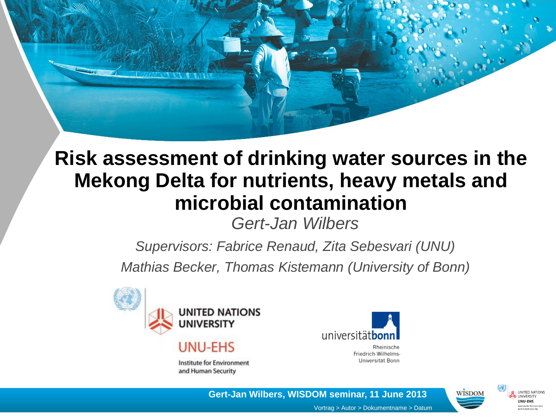### **Risk assessment of drinking water sources in the Mekong Delta for nutrients, heavy metals and microbial contamination**

*Gert-Jan Wilbers*

*Supervisors: Fabrice Renaud, Zita Sebesvari (UNU) Mathias Becker, Thomas Kistemann (University of Bonn)*



#### **UNU-EHS**

Institute for Environment and Human Security



Friedrich Wilhelms-Universität Bonn



**UNITED NATION JNU-FHS** 

**Gert-Jan Wilbers, WISDOM seminar, 11 June 2013**

Vortrag > Autor > Dokumentname > Datum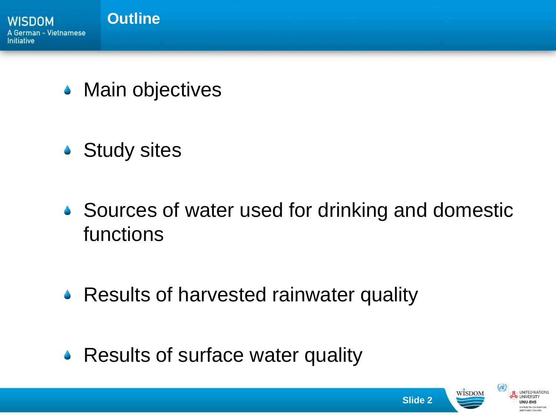

- **Main objectives**
- **◆ Study sites**
- ◆ Sources of water used for drinking and domestic functions
- ◆ Results of harvested rainwater quality
- ◆ Results of surface water quality

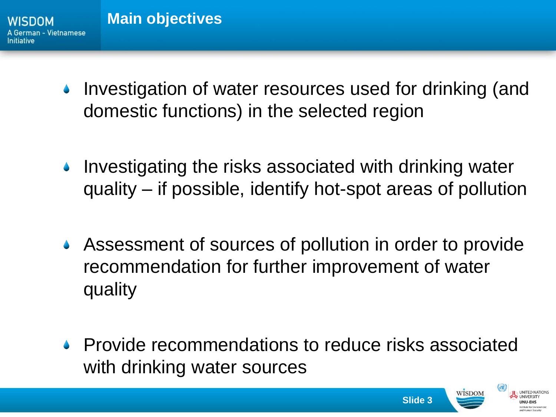

- Investigation of water resources used for drinking (and  $\bullet$ domestic functions) in the selected region
- Investigating the risks associated with drinking water  $\bullet$ quality – if possible, identify hot-spot areas of pollution
- Assessment of sources of pollution in order to provide recommendation for further improvement of water quality
- Provide recommendations to reduce risks associated with drinking water sources

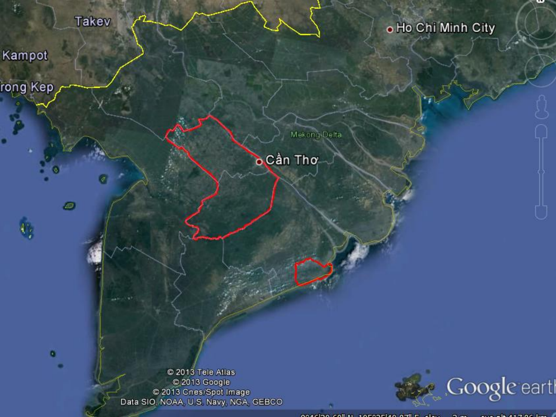Takev

 $\sigma$ 

ø

۰

Kampot

V,

鞱

rong Kep

#### o Ho Chi Minh City

Mekong-Delta

**b** Cần Thơ

© 2013 Tele Atlas © 2013 Google 2013 Cnes/Spot Image Data SIO, NOAA, U.S. Navy, NGA, GEBCO

> $\sim$  1  $\sim$  1 a conception confirm

**Soogle** earth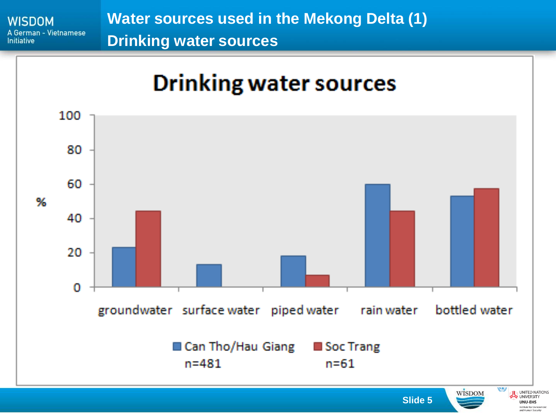#### **Drinking water sources**

# **Drinking water sources**

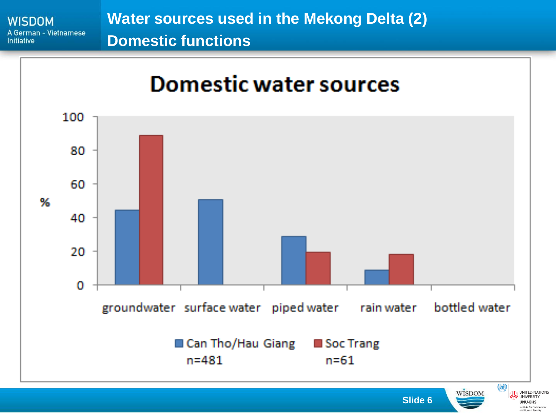



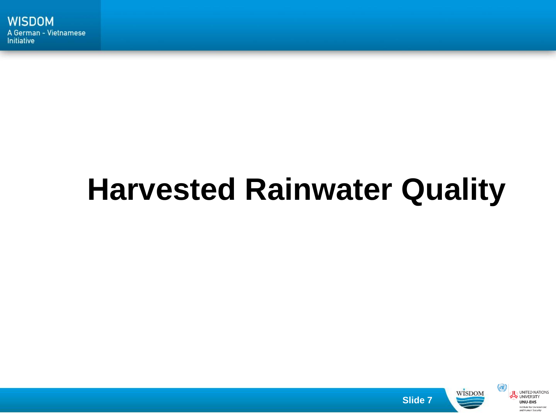# **Harvested Rainwater Quality**



WISDOM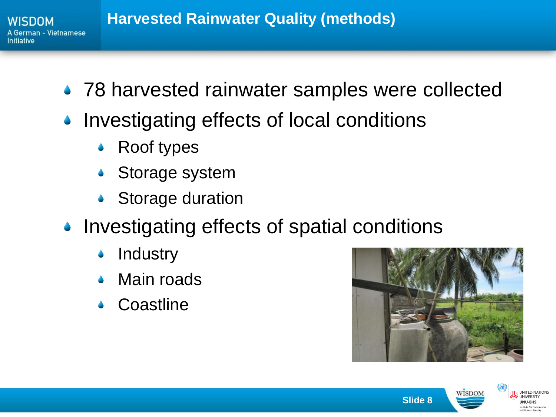

- ◆ 78 harvested rainwater samples were collected
- Investigating effects of local conditions  $\bullet$ 
	- Roof types
	- Storage system
	- Storage duration
- **Investigating effects of spatial conditions** 
	- **Industry**
	- Main roads
	- **Coastline**



WISDO

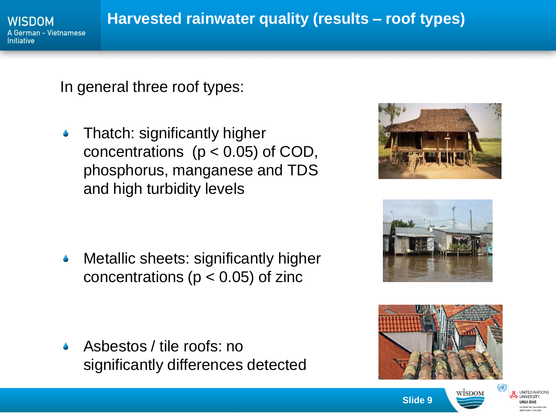In general three roof types:

Thatch: significantly higher  $\blacklozenge$ concentrations ( $p < 0.05$ ) of COD, phosphorus, manganese and TDS and high turbidity levels

Metallic sheets: significantly higher  $\blacklozenge$ concentrations ( $p < 0.05$ ) of zinc

Asbestos / tile roofs: no significantly differences detected







**WISDOM** 

**Slide 9**

**UNITED NATIONS**  $\sum_{n=1}^{\infty}$  UNIVERS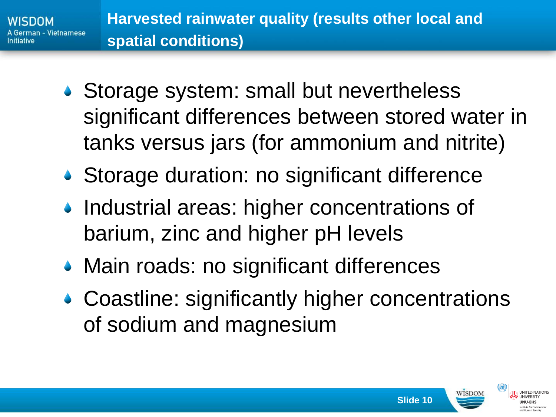- ◆ Storage system: small but nevertheless significant differences between stored water in tanks versus jars (for ammonium and nitrite)
- Storage duration: no significant difference
- Industrial areas: higher concentrations of barium, zinc and higher pH levels
- ◆ Main roads: no significant differences
- ◆ Coastline: significantly higher concentrations of sodium and magnesium

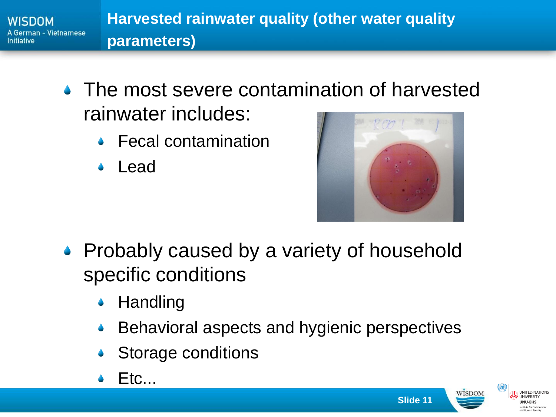

- **Harvested rainwater quality (other water quality parameters)**
- The most severe contamination of harvested rainwater includes:
	- ◆ Fecal contamination
	- $\blacklozenge$ Lead



**Formation** UNIVERS

- Probably caused by a variety of household specific conditions
	- **Handling** ♦
	- Behavioral aspects and hygienic perspectives ♦
	- Storage conditions
	- Etc...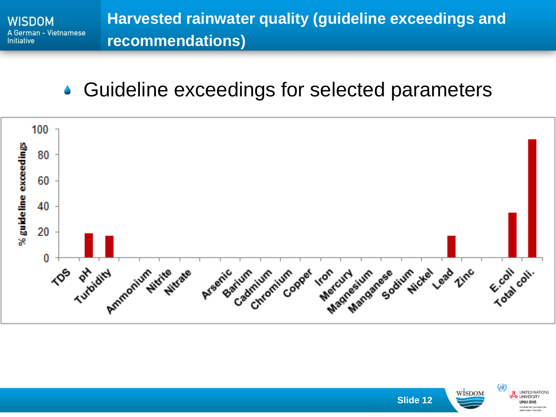| <b>WISDOM</b><br>A German - Vietnamese<br><b>Initiative</b> | <b>Harvested rainwater quality (guideline exceedings and \</b> |
|-------------------------------------------------------------|----------------------------------------------------------------|
|                                                             | <b>recommendations)</b>                                        |

#### Guideline exceedings for selected parameters $\blacklozenge$



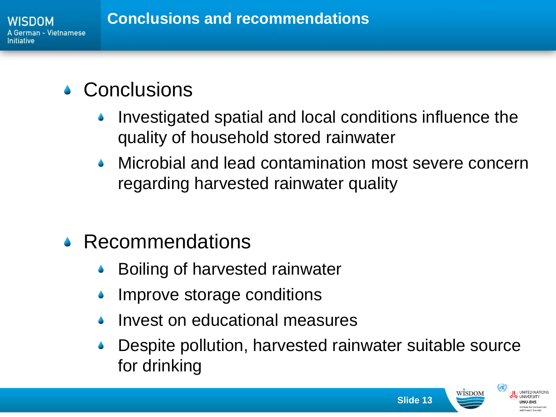

- ◆ Conclusions
	- Investigated spatial and local conditions influence the quality of household stored rainwater
	- Microbial and lead contamination most severe concern  $\bullet$ regarding harvested rainwater quality
- Recommendations
	- Boiling of harvested rainwater
	- Improve storage conditions ♦
	- Invest on educational measures
	- Despite pollution, harvested rainwater suitable source for drinking

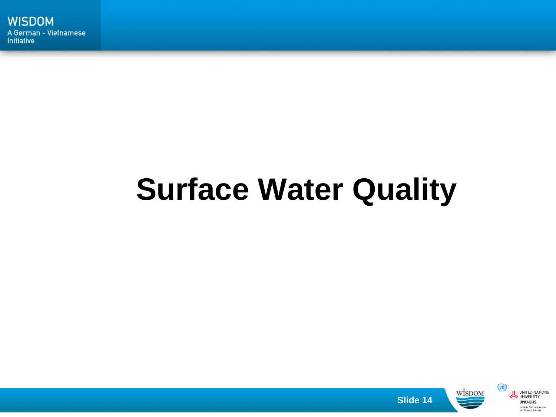# **Surface Water Quality**



**Slide 14**

**WISDOM**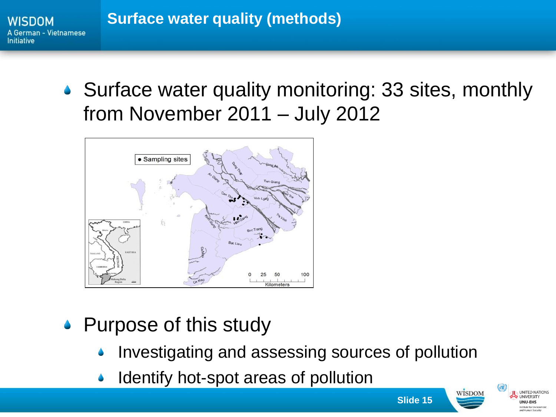

◆ Surface water quality monitoring: 33 sites, monthly from November 2011 – July 2012



## ◆ Purpose of this study

- Investigating and assessing sources of pollution
- Identify hot-spot areas of pollution

**Slide 15**

WISDON

**Formation** UNIVERS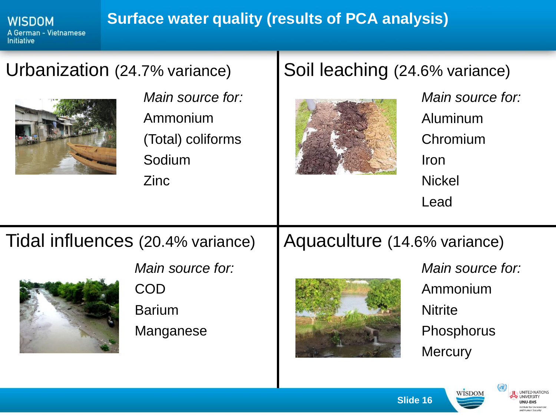#### **Surface water quality (results of PCA analysis)**

**WISDOM** A German - Vietnamese **Initiative** 

### Urbanization (24.7% variance)



*Main source for:* Ammonium (Total) coliforms Sodium Zinc

### Soil leaching (24.6% variance)



*Main source for:* Aluminum Chromium Iron Nickel Lead

### Tidal influences (20.4% variance) Aquaculture (14.6% variance)



*Main source for:*

COD Barium

Manganese



*Main source for:* Ammonium **Nitrite Phosphorus Mercury** 

**WISDO** 

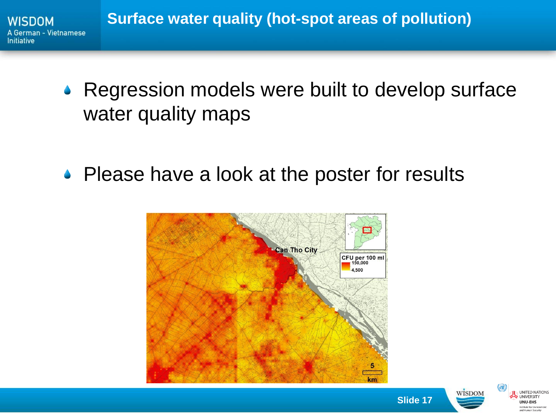

- Regression models were built to develop surface  $\blacklozenge$ water quality maps
- Please have a look at the poster for results  $\bullet$





WISDO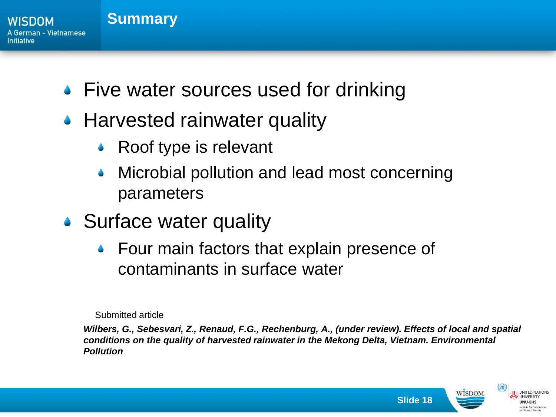

- ◆ Five water sources used for drinking
- ◆ Harvested rainwater quality
	- Roof type is relevant  $\blacklozenge$
	- Microbial pollution and lead most concerning ♦ parameters
- Surface water quality
	- Four main factors that explain presence of  $\blacklozenge$ contaminants in surface water

Submitted article

*Wilbers, G., Sebesvari, Z., Renaud, F.G., Rechenburg, A., (under review). Effects of local and spatial conditions on the quality of harvested rainwater in the Mekong Delta, Vietnam. Environmental Pollution*

**Formation** UNIVERS

**Slide 18**

WISDO!